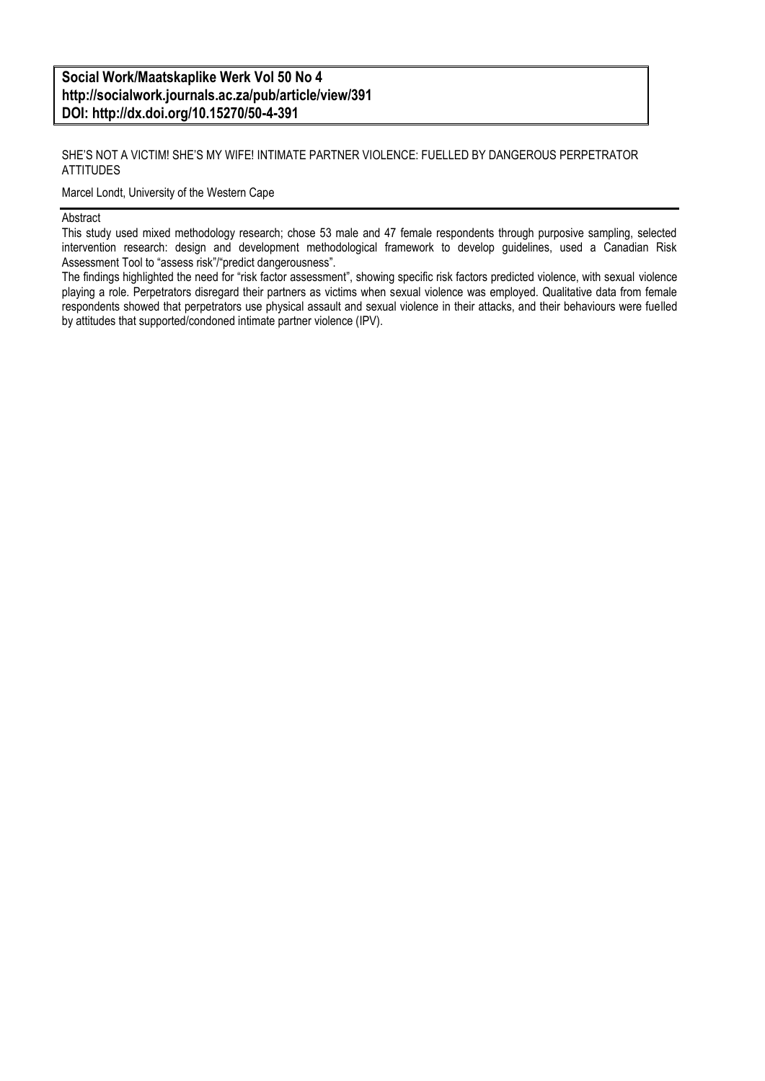**Social Work/Maatskaplike Werk Vol 50 No 4 http://socialwork.journals.ac.za/pub/article/view/391 DOI: http://dx.doi.org/10.15270/50-4-391**

SHE'S NOT A VICTIM! SHE'S MY WIFE! INTIMATE PARTNER VIOLENCE: FUELLED BY DANGEROUS PERPETRATOR **ATTITUDES** 

Marcel Londt, University of the Western Cape

#### Abstract

This study used mixed methodology research; chose 53 male and 47 female respondents through purposive sampling, selected intervention research: design and development methodological framework to develop guidelines, used a Canadian Risk Assessment Tool to "assess risk"/"predict dangerousness".

The findings highlighted the need for "risk factor assessment", showing specific risk factors predicted violence, with sexual violence playing a role. Perpetrators disregard their partners as victims when sexual violence was employed. Qualitative data from female respondents showed that perpetrators use physical assault and sexual violence in their attacks, and their behaviours were fuelled by attitudes that supported/condoned intimate partner violence (IPV).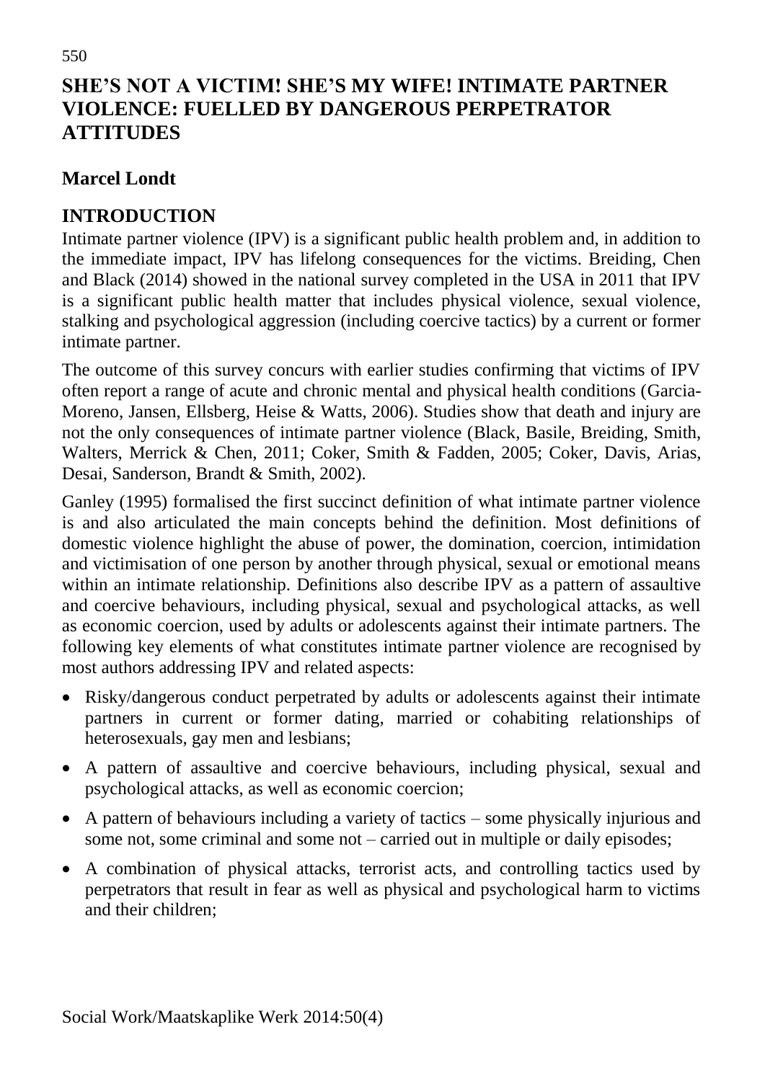# **SHE'S NOT A VICTIM! SHE'S MY WIFE! INTIMATE PARTNER VIOLENCE: FUELLED BY DANGEROUS PERPETRATOR ATTITUDES**

#### **Marcel Londt**

## **INTRODUCTION**

Intimate partner violence (IPV) is a significant public health problem and, in addition to the immediate impact, IPV has lifelong consequences for the victims. Breiding, Chen and Black (2014) showed in the national survey completed in the USA in 2011 that IPV is a significant public health matter that includes physical violence, sexual violence, stalking and psychological aggression (including coercive tactics) by a current or former intimate partner.

The outcome of this survey concurs with earlier studies confirming that victims of IPV often report a range of acute and chronic mental and physical health conditions (Garcia-Moreno, Jansen, Ellsberg, Heise & Watts, 2006). Studies show that death and injury are not the only consequences of intimate partner violence (Black, Basile, Breiding, Smith, Walters, Merrick & Chen, 2011; Coker, Smith & Fadden, 2005; Coker, Davis, Arias, Desai, Sanderson, Brandt & Smith, 2002).

Ganley (1995) formalised the first succinct definition of what intimate partner violence is and also articulated the main concepts behind the definition. Most definitions of domestic violence highlight the abuse of power, the domination, coercion, intimidation and victimisation of one person by another through physical, sexual or emotional means within an intimate relationship. Definitions also describe IPV as a pattern of assaultive and coercive behaviours, including physical, sexual and psychological attacks, as well as economic coercion, used by adults or adolescents against their intimate partners. The following key elements of what constitutes intimate partner violence are recognised by most authors addressing IPV and related aspects:

- Risky/dangerous conduct perpetrated by adults or adolescents against their intimate partners in current or former dating, married or cohabiting relationships of heterosexuals, gay men and lesbians;
- A pattern of assaultive and coercive behaviours, including physical, sexual and psychological attacks, as well as economic coercion;
- A pattern of behaviours including a variety of tactics some physically injurious and some not, some criminal and some not – carried out in multiple or daily episodes;
- A combination of physical attacks, terrorist acts, and controlling tactics used by perpetrators that result in fear as well as physical and psychological harm to victims and their children;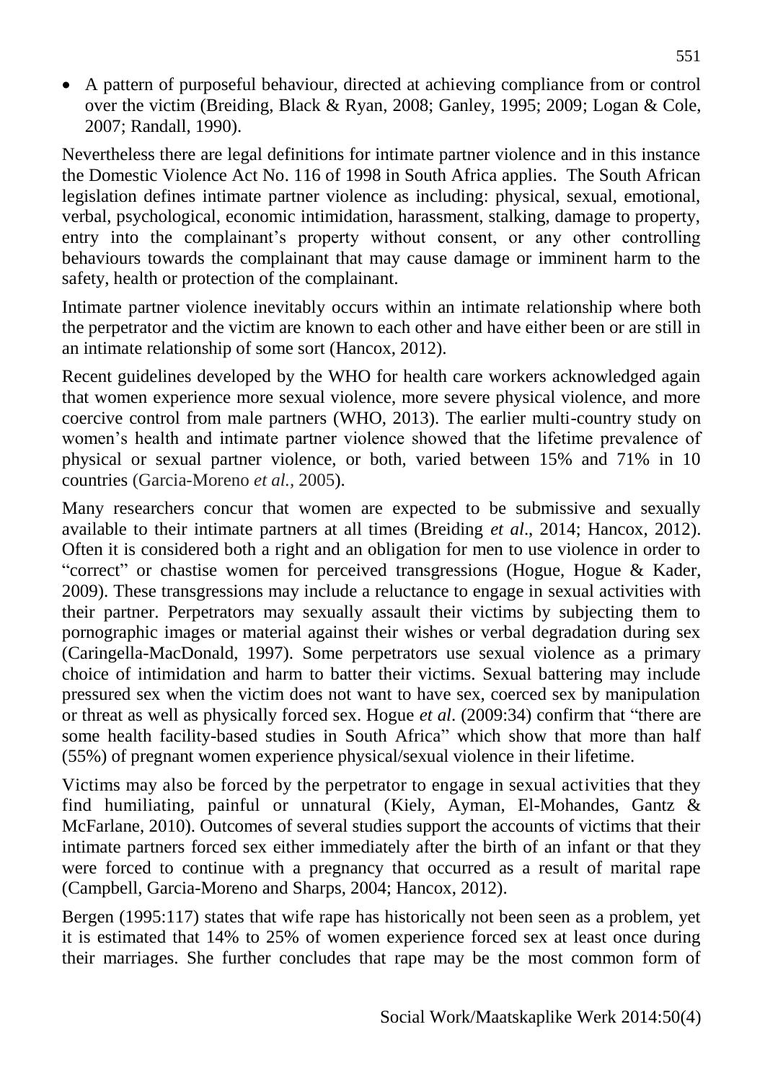A pattern of purposeful behaviour, directed at achieving compliance from or control over the victim (Breiding, Black & Ryan, 2008; Ganley, 1995; 2009; Logan & Cole, 2007; Randall, 1990).

Nevertheless there are legal definitions for intimate partner violence and in this instance the Domestic Violence Act No. 116 of 1998 in South Africa applies. The South African legislation defines intimate partner violence as including: physical, sexual, emotional, verbal, psychological, economic intimidation, harassment, stalking, damage to property, entry into the complainant's property without consent, or any other controlling behaviours towards the complainant that may cause damage or imminent harm to the safety, health or protection of the complainant.

Intimate partner violence inevitably occurs within an intimate relationship where both the perpetrator and the victim are known to each other and have either been or are still in an intimate relationship of some sort (Hancox, 2012).

Recent guidelines developed by the WHO for health care workers acknowledged again that women experience more sexual violence, more severe physical violence, and more coercive control from male partners (WHO, 2013). The earlier multi-country study on women's health and intimate partner violence showed that the lifetime prevalence of physical or sexual partner violence, or both, varied between 15% and 71% in 10 countries (Garcia-Moreno *et al.,* 2005).

Many researchers concur that women are expected to be submissive and sexually available to their intimate partners at all times (Breiding *et al*., 2014; Hancox, 2012). Often it is considered both a right and an obligation for men to use violence in order to "correct" or chastise women for perceived transgressions (Hogue, Hogue & Kader, 2009). These transgressions may include a reluctance to engage in sexual activities with their partner. Perpetrators may sexually assault their victims by subjecting them to pornographic images or material against their wishes or verbal degradation during sex (Caringella-MacDonald, 1997). Some perpetrators use sexual violence as a primary choice of intimidation and harm to batter their victims. Sexual battering may include pressured sex when the victim does not want to have sex, coerced sex by manipulation or threat as well as physically forced sex. Hogue *et al*. (2009:34) confirm that "there are some health facility-based studies in South Africa" which show that more than half (55%) of pregnant women experience physical/sexual violence in their lifetime.

Victims may also be forced by the perpetrator to engage in sexual activities that they find humiliating, painful or unnatural (Kiely, Ayman, El-Mohandes, Gantz & McFarlane, 2010). Outcomes of several studies support the accounts of victims that their intimate partners forced sex either immediately after the birth of an infant or that they were forced to continue with a pregnancy that occurred as a result of marital rape (Campbell, Garcia-Moreno and Sharps, 2004; Hancox, 2012).

Bergen (1995:117) states that wife rape has historically not been seen as a problem, yet it is estimated that 14% to 25% of women experience forced sex at least once during their marriages. She further concludes that rape may be the most common form of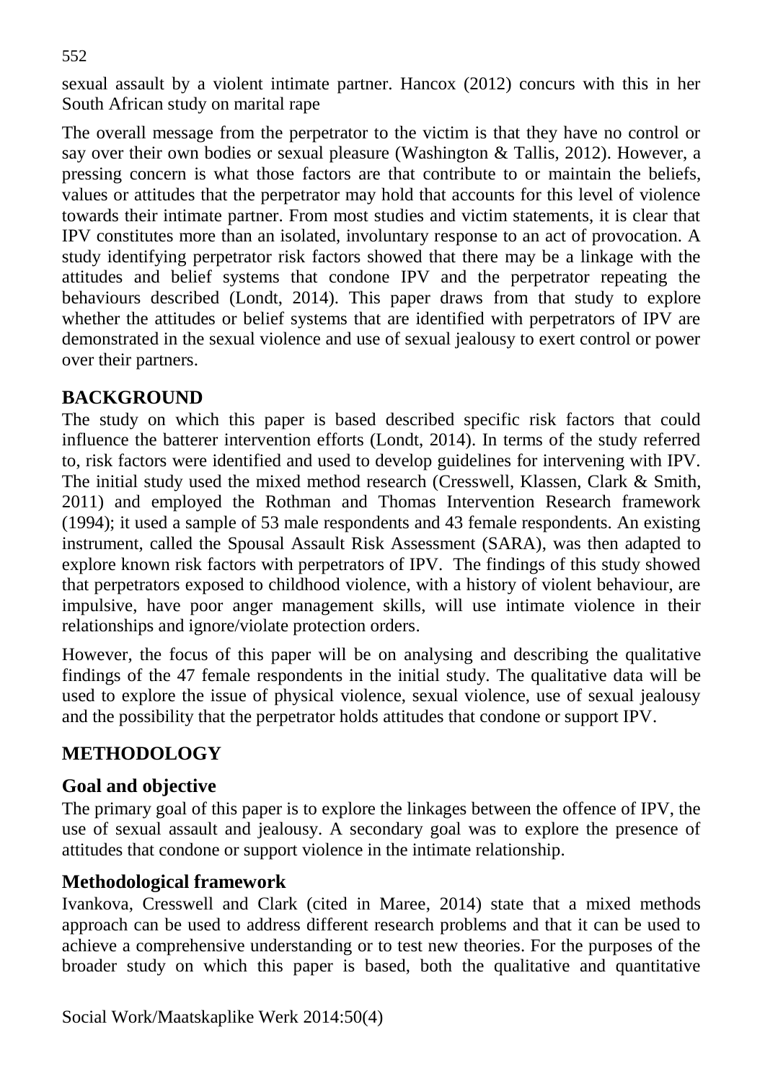sexual assault by a violent intimate partner. Hancox (2012) concurs with this in her South African study on marital rape

The overall message from the perpetrator to the victim is that they have no control or say over their own bodies or sexual pleasure (Washington & Tallis, 2012). However, a pressing concern is what those factors are that contribute to or maintain the beliefs, values or attitudes that the perpetrator may hold that accounts for this level of violence towards their intimate partner. From most studies and victim statements, it is clear that IPV constitutes more than an isolated, involuntary response to an act of provocation. A study identifying perpetrator risk factors showed that there may be a linkage with the attitudes and belief systems that condone IPV and the perpetrator repeating the behaviours described (Londt, 2014). This paper draws from that study to explore whether the attitudes or belief systems that are identified with perpetrators of IPV are demonstrated in the sexual violence and use of sexual jealousy to exert control or power over their partners.

#### **BACKGROUND**

The study on which this paper is based described specific risk factors that could influence the batterer intervention efforts (Londt, 2014). In terms of the study referred to, risk factors were identified and used to develop guidelines for intervening with IPV. The initial study used the mixed method research (Cresswell, Klassen, Clark & Smith, 2011) and employed the Rothman and Thomas Intervention Research framework (1994); it used a sample of 53 male respondents and 43 female respondents. An existing instrument, called the Spousal Assault Risk Assessment (SARA), was then adapted to explore known risk factors with perpetrators of IPV. The findings of this study showed that perpetrators exposed to childhood violence, with a history of violent behaviour, are impulsive, have poor anger management skills, will use intimate violence in their relationships and ignore/violate protection orders.

However, the focus of this paper will be on analysing and describing the qualitative findings of the 47 female respondents in the initial study. The qualitative data will be used to explore the issue of physical violence, sexual violence, use of sexual jealousy and the possibility that the perpetrator holds attitudes that condone or support IPV.

#### **METHODOLOGY**

#### **Goal and objective**

The primary goal of this paper is to explore the linkages between the offence of IPV, the use of sexual assault and jealousy. A secondary goal was to explore the presence of attitudes that condone or support violence in the intimate relationship.

#### **Methodological framework**

Ivankova, Cresswell and Clark (cited in Maree, 2014) state that a mixed methods approach can be used to address different research problems and that it can be used to achieve a comprehensive understanding or to test new theories. For the purposes of the broader study on which this paper is based, both the qualitative and quantitative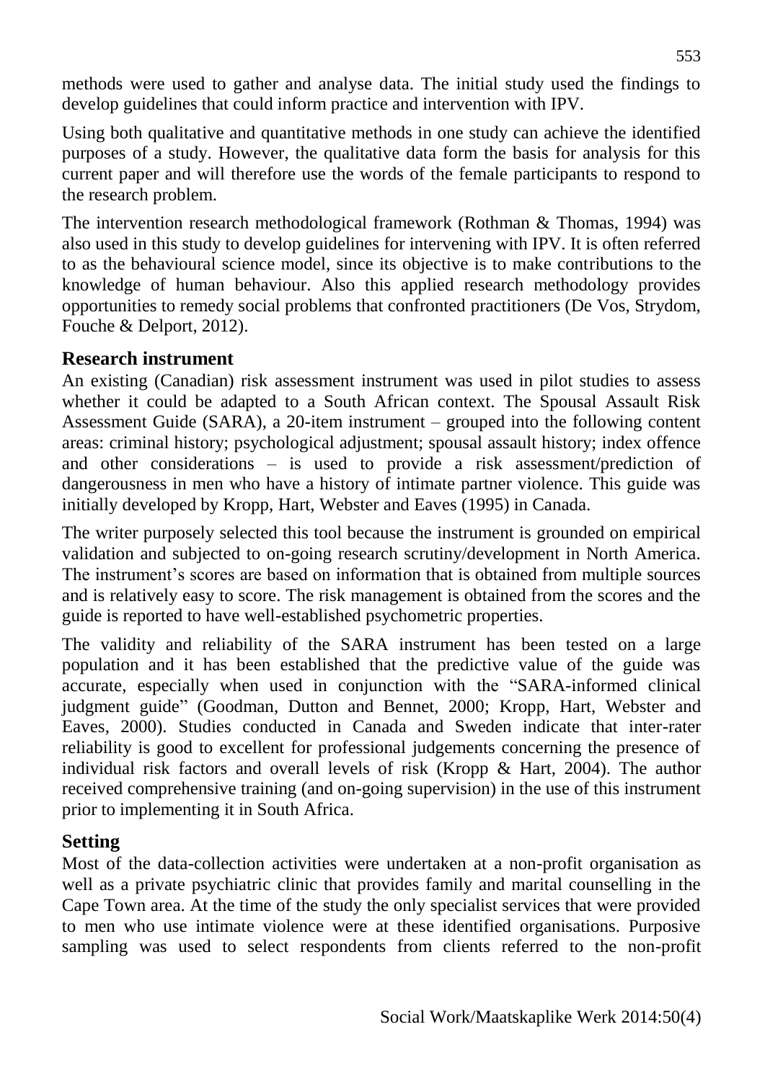methods were used to gather and analyse data. The initial study used the findings to develop guidelines that could inform practice and intervention with IPV.

Using both qualitative and quantitative methods in one study can achieve the identified purposes of a study. However, the qualitative data form the basis for analysis for this current paper and will therefore use the words of the female participants to respond to the research problem.

The intervention research methodological framework (Rothman & Thomas, 1994) was also used in this study to develop guidelines for intervening with IPV. It is often referred to as the behavioural science model, since its objective is to make contributions to the knowledge of human behaviour. Also this applied research methodology provides opportunities to remedy social problems that confronted practitioners (De Vos, Strydom, Fouche & Delport, 2012).

#### **Research instrument**

An existing (Canadian) risk assessment instrument was used in pilot studies to assess whether it could be adapted to a South African context. The Spousal Assault Risk Assessment Guide (SARA), a 20-item instrument – grouped into the following content areas: criminal history; psychological adjustment; spousal assault history; index offence and other considerations – is used to provide a risk assessment/prediction of dangerousness in men who have a history of intimate partner violence. This guide was initially developed by Kropp, Hart, Webster and Eaves (1995) in Canada.

The writer purposely selected this tool because the instrument is grounded on empirical validation and subjected to on-going research scrutiny/development in North America. The instrument's scores are based on information that is obtained from multiple sources and is relatively easy to score. The risk management is obtained from the scores and the guide is reported to have well-established psychometric properties.

The validity and reliability of the SARA instrument has been tested on a large population and it has been established that the predictive value of the guide was accurate, especially when used in conjunction with the "SARA-informed clinical judgment guide" (Goodman, Dutton and Bennet, 2000; Kropp, Hart, Webster and Eaves, 2000). Studies conducted in Canada and Sweden indicate that inter-rater reliability is good to excellent for professional judgements concerning the presence of individual risk factors and overall levels of risk (Kropp & Hart, 2004). The author received comprehensive training (and on-going supervision) in the use of this instrument prior to implementing it in South Africa.

#### **Setting**

Most of the data-collection activities were undertaken at a non-profit organisation as well as a private psychiatric clinic that provides family and marital counselling in the Cape Town area. At the time of the study the only specialist services that were provided to men who use intimate violence were at these identified organisations. Purposive sampling was used to select respondents from clients referred to the non-profit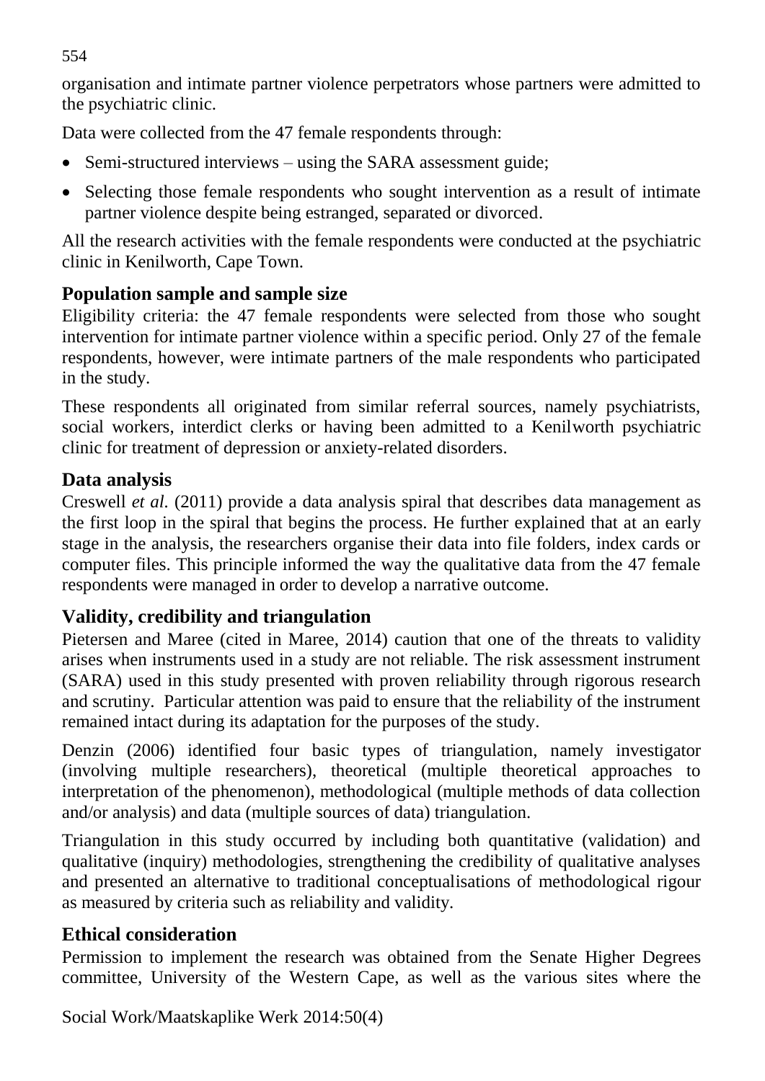organisation and intimate partner violence perpetrators whose partners were admitted to the psychiatric clinic.

Data were collected from the 47 female respondents through:

- Semi-structured interviews using the SARA assessment guide;
- Selecting those female respondents who sought intervention as a result of intimate partner violence despite being estranged, separated or divorced.

All the research activities with the female respondents were conducted at the psychiatric clinic in Kenilworth, Cape Town.

# **Population sample and sample size**

Eligibility criteria: the 47 female respondents were selected from those who sought intervention for intimate partner violence within a specific period. Only 27 of the female respondents, however, were intimate partners of the male respondents who participated in the study.

These respondents all originated from similar referral sources, namely psychiatrists, social workers, interdict clerks or having been admitted to a Kenilworth psychiatric clinic for treatment of depression or anxiety-related disorders.

# **Data analysis**

Creswell *et al.* (2011) provide a data analysis spiral that describes data management as the first loop in the spiral that begins the process. He further explained that at an early stage in the analysis, the researchers organise their data into file folders, index cards or computer files. This principle informed the way the qualitative data from the 47 female respondents were managed in order to develop a narrative outcome.

# **Validity, credibility and triangulation**

Pietersen and Maree (cited in Maree, 2014) caution that one of the threats to validity arises when instruments used in a study are not reliable. The risk assessment instrument (SARA) used in this study presented with proven reliability through rigorous research and scrutiny. Particular attention was paid to ensure that the reliability of the instrument remained intact during its adaptation for the purposes of the study.

Denzin (2006) identified four basic types of triangulation, namely investigator (involving multiple researchers), theoretical (multiple theoretical approaches to interpretation of the phenomenon), methodological (multiple methods of data collection and/or analysis) and data (multiple sources of data) triangulation.

Triangulation in this study occurred by including both quantitative (validation) and qualitative (inquiry) methodologies, strengthening the credibility of qualitative analyses and presented an alternative to traditional conceptualisations of methodological rigour as measured by criteria such as reliability and validity.

# **Ethical consideration**

Permission to implement the research was obtained from the Senate Higher Degrees committee, University of the Western Cape, as well as the various sites where the

Social Work/Maatskaplike Werk 2014:50(4)

554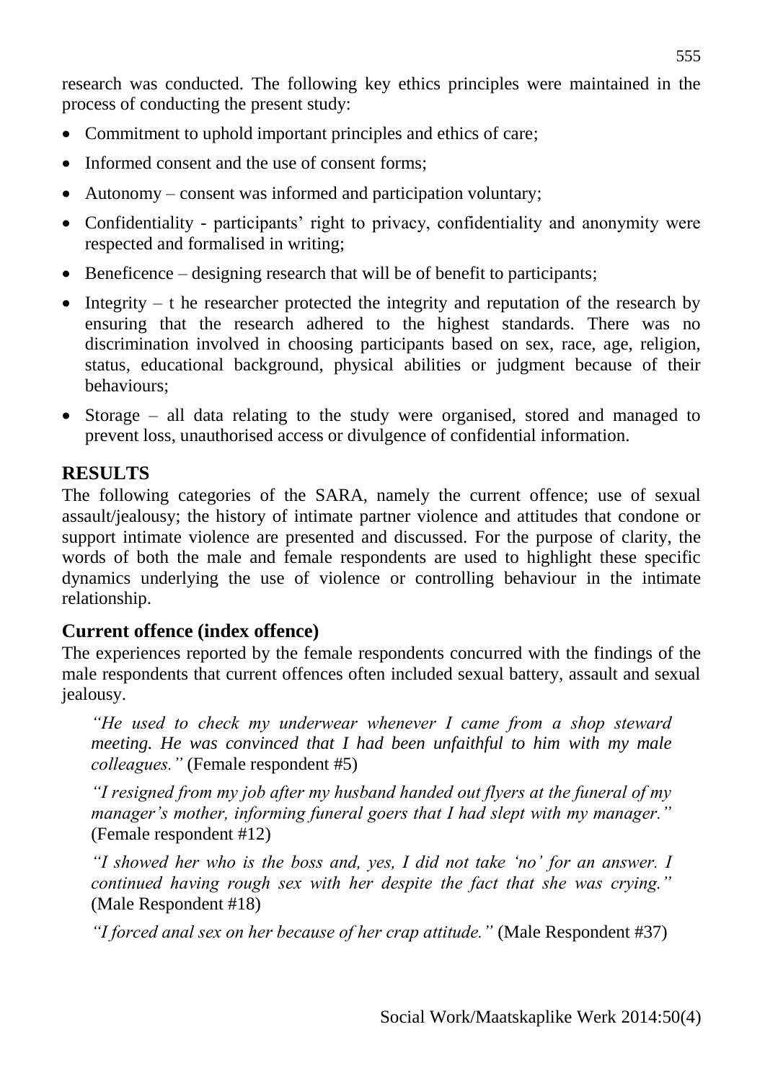research was conducted. The following key ethics principles were maintained in the process of conducting the present study:

- Commitment to uphold important principles and ethics of care;
- Informed consent and the use of consent forms:
- Autonomy consent was informed and participation voluntary;
- Confidentiality participants' right to privacy, confidentiality and anonymity were respected and formalised in writing;
- $\bullet$  Beneficence designing research that will be of benefit to participants;
- Integrity  $t$  he researcher protected the integrity and reputation of the research by ensuring that the research adhered to the highest standards. There was no discrimination involved in choosing participants based on sex, race, age, religion, status, educational background, physical abilities or judgment because of their behaviours;
- Storage all data relating to the study were organised, stored and managed to prevent loss, unauthorised access or divulgence of confidential information.

## **RESULTS**

The following categories of the SARA, namely the current offence; use of sexual assault/jealousy; the history of intimate partner violence and attitudes that condone or support intimate violence are presented and discussed. For the purpose of clarity, the words of both the male and female respondents are used to highlight these specific dynamics underlying the use of violence or controlling behaviour in the intimate relationship.

## **Current offence (index offence)**

The experiences reported by the female respondents concurred with the findings of the male respondents that current offences often included sexual battery, assault and sexual jealousy.

*"He used to check my underwear whenever I came from a shop steward meeting. He was convinced that I had been unfaithful to him with my male colleagues."* (Female respondent #5)

*"I resigned from my job after my husband handed out flyers at the funeral of my manager's mother, informing funeral goers that I had slept with my manager."* (Female respondent #12)

*"I showed her who is the boss and, yes, I did not take 'no' for an answer. I continued having rough sex with her despite the fact that she was crying."* (Male Respondent #18)

*"I forced anal sex on her because of her crap attitude."* (Male Respondent #37)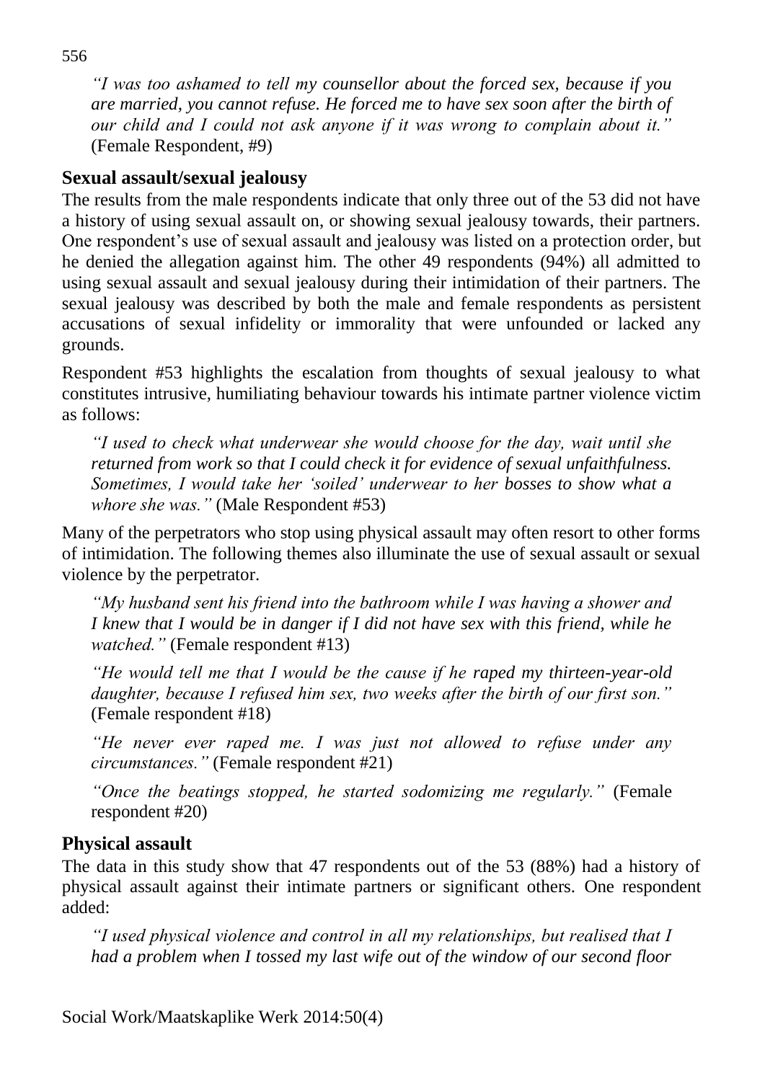*"I was too ashamed to tell my counsellor about the forced sex, because if you are married, you cannot refuse. He forced me to have sex soon after the birth of our child and I could not ask anyone if it was wrong to complain about it."* (Female Respondent, #9)

### **Sexual assault/sexual jealousy**

The results from the male respondents indicate that only three out of the 53 did not have a history of using sexual assault on, or showing sexual jealousy towards, their partners. One respondent's use of sexual assault and jealousy was listed on a protection order, but he denied the allegation against him. The other 49 respondents (94%) all admitted to using sexual assault and sexual jealousy during their intimidation of their partners. The sexual jealousy was described by both the male and female respondents as persistent accusations of sexual infidelity or immorality that were unfounded or lacked any grounds.

Respondent #53 highlights the escalation from thoughts of sexual jealousy to what constitutes intrusive, humiliating behaviour towards his intimate partner violence victim as follows:

*"I used to check what underwear she would choose for the day, wait until she returned from work so that I could check it for evidence of sexual unfaithfulness. Sometimes, I would take her 'soiled' underwear to her bosses to show what a whore she was."* (Male Respondent #53)

Many of the perpetrators who stop using physical assault may often resort to other forms of intimidation. The following themes also illuminate the use of sexual assault or sexual violence by the perpetrator.

*"My husband sent his friend into the bathroom while I was having a shower and I knew that I would be in danger if I did not have sex with this friend, while he watched."* (Female respondent #13)

*"He would tell me that I would be the cause if he raped my thirteen-year-old daughter, because I refused him sex, two weeks after the birth of our first son."* (Female respondent #18)

*"He never ever raped me. I was just not allowed to refuse under any circumstances."* (Female respondent #21)

*"Once the beatings stopped, he started sodomizing me regularly."* (Female respondent #20)

#### **Physical assault**

The data in this study show that 47 respondents out of the 53 (88%) had a history of physical assault against their intimate partners or significant others. One respondent added:

*"I used physical violence and control in all my relationships, but realised that I had a problem when I tossed my last wife out of the window of our second floor*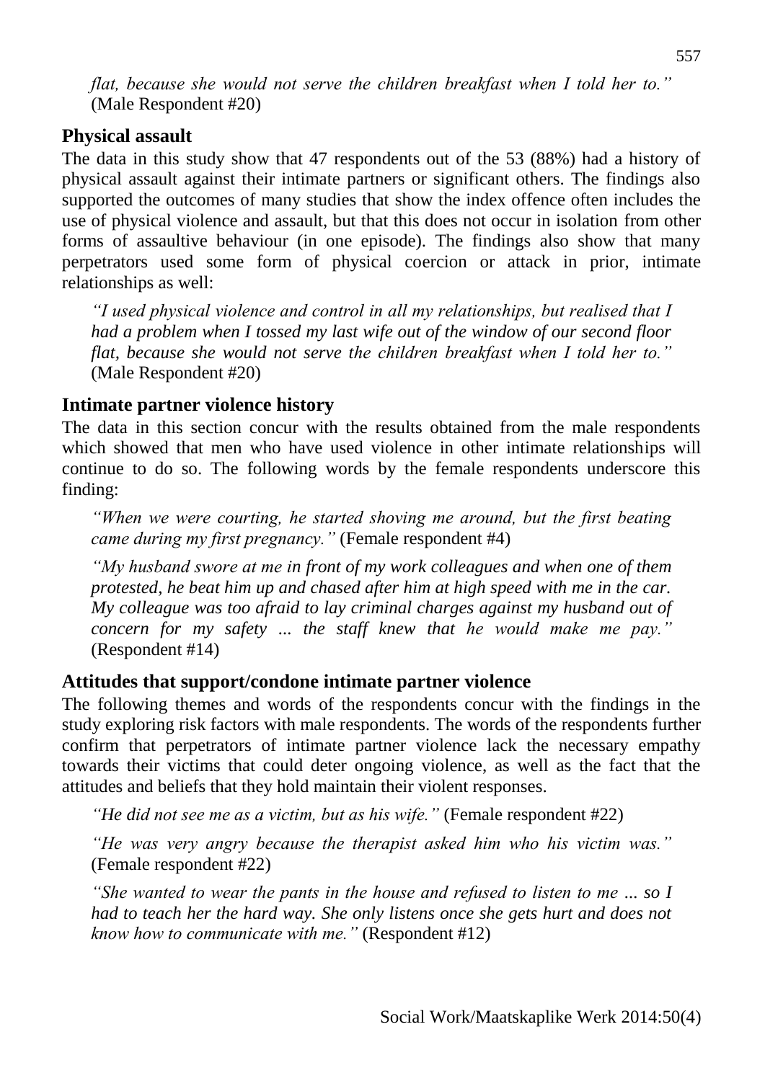## **Physical assault**

The data in this study show that 47 respondents out of the 53 (88%) had a history of physical assault against their intimate partners or significant others. The findings also supported the outcomes of many studies that show the index offence often includes the use of physical violence and assault, but that this does not occur in isolation from other forms of assaultive behaviour (in one episode). The findings also show that many perpetrators used some form of physical coercion or attack in prior, intimate relationships as well:

*"I used physical violence and control in all my relationships, but realised that I had a problem when I tossed my last wife out of the window of our second floor flat, because she would not serve the children breakfast when I told her to."*  (Male Respondent #20)

# **Intimate partner violence history**

The data in this section concur with the results obtained from the male respondents which showed that men who have used violence in other intimate relationships will continue to do so. The following words by the female respondents underscore this finding:

*"When we were courting, he started shoving me around, but the first beating came during my first pregnancy."* (Female respondent #4)

*"My husband swore at me in front of my work colleagues and when one of them protested, he beat him up and chased after him at high speed with me in the car. My colleague was too afraid to lay criminal charges against my husband out of concern for my safety ... the staff knew that he would make me pay."* (Respondent #14)

# **Attitudes that support/condone intimate partner violence**

The following themes and words of the respondents concur with the findings in the study exploring risk factors with male respondents. The words of the respondents further confirm that perpetrators of intimate partner violence lack the necessary empathy towards their victims that could deter ongoing violence, as well as the fact that the attitudes and beliefs that they hold maintain their violent responses.

*"He did not see me as a victim, but as his wife."* (Female respondent #22)

*"He was very angry because the therapist asked him who his victim was."* (Female respondent #22)

*"She wanted to wear the pants in the house and refused to listen to me ... so I had to teach her the hard way. She only listens once she gets hurt and does not know how to communicate with me."* (Respondent #12)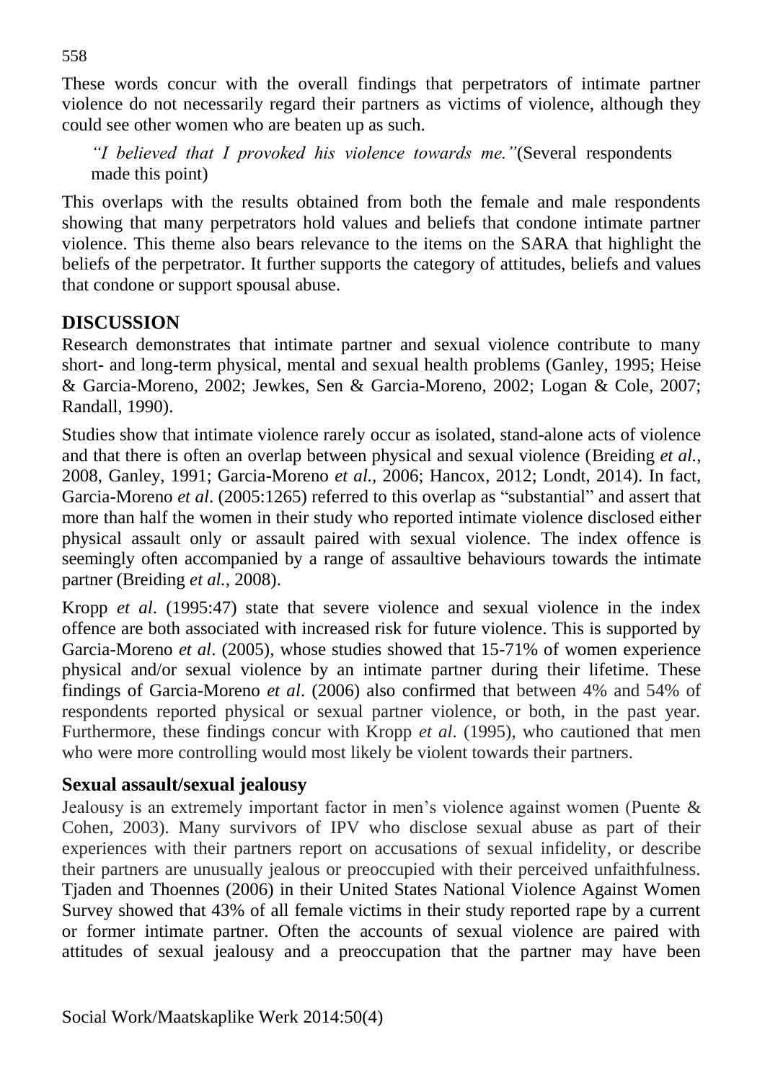These words concur with the overall findings that perpetrators of intimate partner violence do not necessarily regard their partners as victims of violence, although they could see other women who are beaten up as such.

*"I believed that I provoked his violence towards me."*(Several respondents made this point)

This overlaps with the results obtained from both the female and male respondents showing that many perpetrators hold values and beliefs that condone intimate partner violence. This theme also bears relevance to the items on the SARA that highlight the beliefs of the perpetrator. It further supports the category of attitudes, beliefs and values that condone or support spousal abuse.

## **DISCUSSION**

Research demonstrates that intimate partner and sexual violence contribute to many short- and long-term physical, mental and sexual health problems (Ganley, 1995; Heise & Garcia-Moreno, 2002; Jewkes, Sen & Garcia-Moreno, 2002; Logan & Cole, 2007; Randall, 1990).

Studies show that intimate violence rarely occur as isolated, stand-alone acts of violence and that there is often an overlap between physical and sexual violence (Breiding *et al.*, 2008, Ganley, 1991; Garcia-Moreno *et al.,* 2006; Hancox, 2012; Londt, 2014). In fact, Garcia-Moreno *et al*. (2005:1265) referred to this overlap as "substantial" and assert that more than half the women in their study who reported intimate violence disclosed either physical assault only or assault paired with sexual violence. The index offence is seemingly often accompanied by a range of assaultive behaviours towards the intimate partner (Breiding *et al.*, 2008).

Kropp *et al*. (1995:47) state that severe violence and sexual violence in the index offence are both associated with increased risk for future violence. This is supported by Garcia-Moreno *et al*. (2005), whose studies showed that 15-71% of women experience physical and/or sexual violence by an intimate partner during their lifetime. These findings of Garcia-Moreno *et al*. (2006) also confirmed that between 4% and 54% of respondents reported physical or sexual partner violence, or both, in the past year. Furthermore, these findings concur with Kropp *et al*. (1995), who cautioned that men who were more controlling would most likely be violent towards their partners.

## **Sexual assault/sexual jealousy**

Jealousy is an extremely important factor in men's violence against women (Puente & Cohen, 2003). Many survivors of IPV who disclose sexual abuse as part of their experiences with their partners report on accusations of sexual infidelity, or describe their partners are unusually jealous or preoccupied with their perceived unfaithfulness. Tjaden and Thoennes (2006) in their United States National Violence Against Women Survey showed that 43% of all female victims in their study reported rape by a current or former intimate partner. Often the accounts of sexual violence are paired with attitudes of sexual jealousy and a preoccupation that the partner may have been

558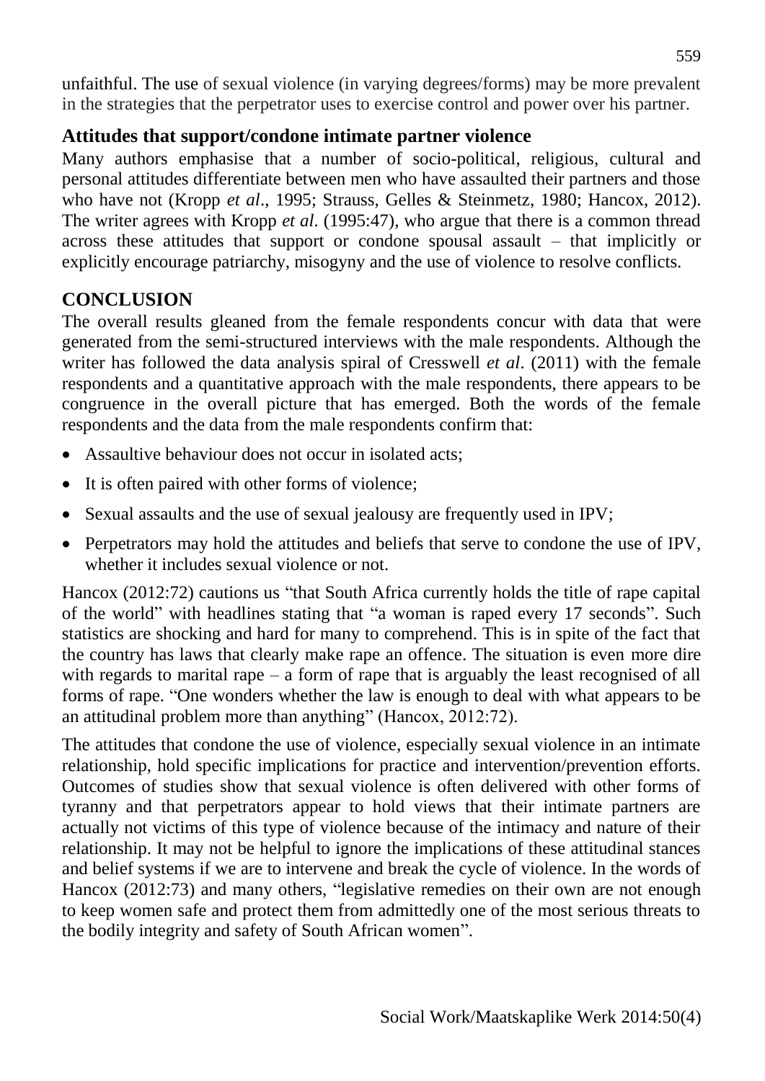unfaithful. The use of sexual violence (in varying degrees/forms) may be more prevalent in the strategies that the perpetrator uses to exercise control and power over his partner.

## **Attitudes that support/condone intimate partner violence**

Many authors emphasise that a number of socio-political, religious, cultural and personal attitudes differentiate between men who have assaulted their partners and those who have not (Kropp *et al*., 1995; Strauss, Gelles & Steinmetz, 1980; Hancox, 2012). The writer agrees with Kropp *et al*. (1995:47), who argue that there is a common thread across these attitudes that support or condone spousal assault – that implicitly or explicitly encourage patriarchy, misogyny and the use of violence to resolve conflicts.

#### **CONCLUSION**

The overall results gleaned from the female respondents concur with data that were generated from the semi-structured interviews with the male respondents. Although the writer has followed the data analysis spiral of Cresswell *et al*. (2011) with the female respondents and a quantitative approach with the male respondents, there appears to be congruence in the overall picture that has emerged. Both the words of the female respondents and the data from the male respondents confirm that:

- Assaultive behaviour does not occur in isolated acts;
- It is often paired with other forms of violence;
- Sexual assaults and the use of sexual jealousy are frequently used in IPV;
- Perpetrators may hold the attitudes and beliefs that serve to condone the use of IPV, whether it includes sexual violence or not.

Hancox (2012:72) cautions us "that South Africa currently holds the title of rape capital of the world" with headlines stating that "a woman is raped every 17 seconds". Such statistics are shocking and hard for many to comprehend. This is in spite of the fact that the country has laws that clearly make rape an offence. The situation is even more dire with regards to marital rape – a form of rape that is arguably the least recognised of all forms of rape. "One wonders whether the law is enough to deal with what appears to be an attitudinal problem more than anything" (Hancox, 2012:72).

The attitudes that condone the use of violence, especially sexual violence in an intimate relationship, hold specific implications for practice and intervention/prevention efforts. Outcomes of studies show that sexual violence is often delivered with other forms of tyranny and that perpetrators appear to hold views that their intimate partners are actually not victims of this type of violence because of the intimacy and nature of their relationship. It may not be helpful to ignore the implications of these attitudinal stances and belief systems if we are to intervene and break the cycle of violence. In the words of Hancox (2012:73) and many others, "legislative remedies on their own are not enough to keep women safe and protect them from admittedly one of the most serious threats to the bodily integrity and safety of South African women".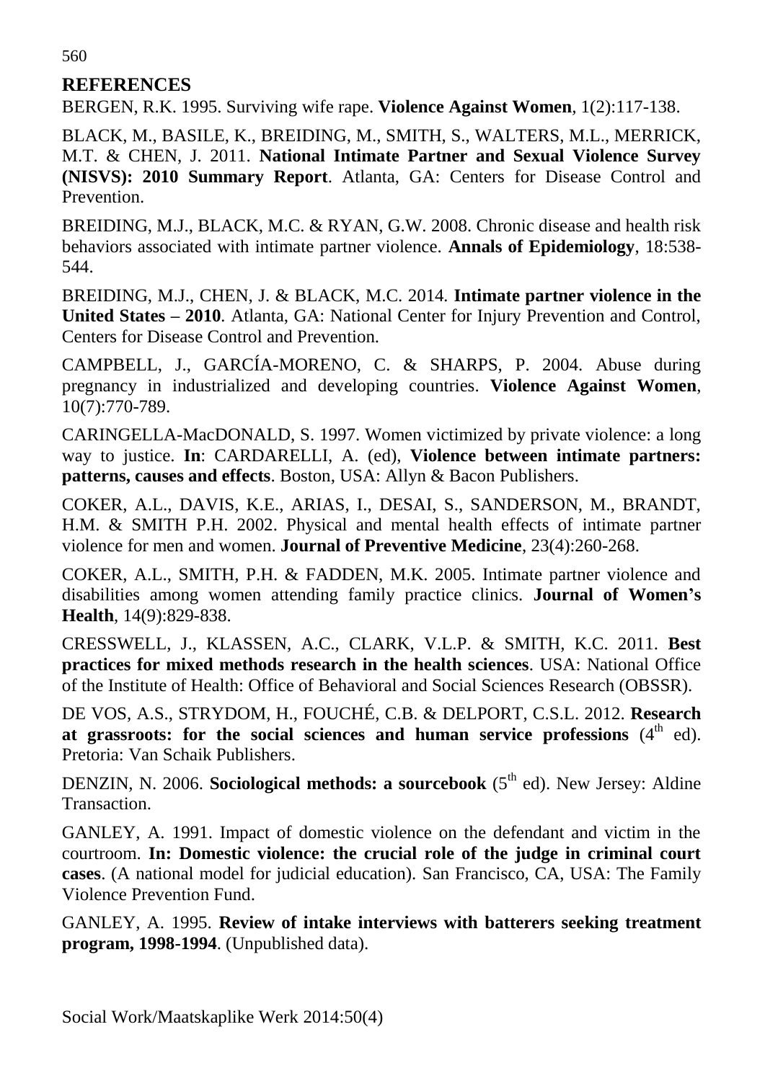#### **REFERENCES**

BERGEN, R.K. 1995. Surviving wife rape. **Violence Against Women***,* 1(2):117-138.

BLACK, M., BASILE, K., BREIDING, M., SMITH, S., WALTERS, M.L., MERRICK, M.T. & CHEN, J. 2011. **National Intimate Partner and Sexual Violence Survey (NISVS): 2010 Summary Report**. Atlanta, GA: Centers for Disease Control and Prevention.

BREIDING, M.J., BLACK, M.C. & RYAN, G.W. 2008. Chronic disease and health risk behaviors associated with intimate partner violence. **Annals of Epidemiology**, 18:538- 544.

BREIDING, M.J., CHEN, J. & BLACK, M.C. 2014*.* **Intimate partner violence in the United States – 2010***.* Atlanta, GA: National Center for Injury Prevention and Control, Centers for Disease Control and Prevention.

CAMPBELL, J., GARCÍA-MORENO, C. & SHARPS, P. 2004. Abuse during pregnancy in industrialized and developing countries. **Violence Against Women**, 10(7):770-789.

CARINGELLA-MacDONALD, S. 1997. Women victimized by private violence: a long way to justice. **In**: CARDARELLI, A. (ed), **Violence between intimate partners: patterns, causes and effects**. Boston, USA: Allyn & Bacon Publishers.

COKER, A.L., DAVIS, K.E., ARIAS, I., DESAI, S., SANDERSON, M., BRANDT, H.M. & SMITH P.H. 2002. Physical and mental health effects of intimate partner violence for men and women. **Journal of Preventive Medicine**, 23(4):260-268.

COKER, A.L., SMITH, P.H. & FADDEN, M.K. 2005. Intimate partner violence and disabilities among women attending family practice clinics. **Journal of Women's Health**, 14(9):829-838.

CRESSWELL, J., KLASSEN, A.C., CLARK, V.L.P. & SMITH, K.C. 2011. **Best practices for mixed methods research in the health sciences**. USA: National Office of the Institute of Health: Office of Behavioral and Social Sciences Research (OBSSR).

DE VOS, A.S., STRYDOM, H., FOUCHÉ, C.B. & DELPORT, C.S.L. 2012. **Research**  at grassroots: for the social sciences and human service professions (4<sup>th</sup> ed). Pretoria: Van Schaik Publishers.

DENZIN, N. 2006. **Sociological methods: a sourcebook** (5<sup>th</sup> ed). New Jersey: Aldine Transaction.

GANLEY, A. 1991. Impact of domestic violence on the defendant and victim in the courtroom. **In: Domestic violence: the crucial role of the judge in criminal court cases**. (A national model for judicial education). San Francisco, CA, USA: The Family Violence Prevention Fund.

GANLEY, A. 1995. **Review of intake interviews with batterers seeking treatment program, 1998-1994**. (Unpublished data).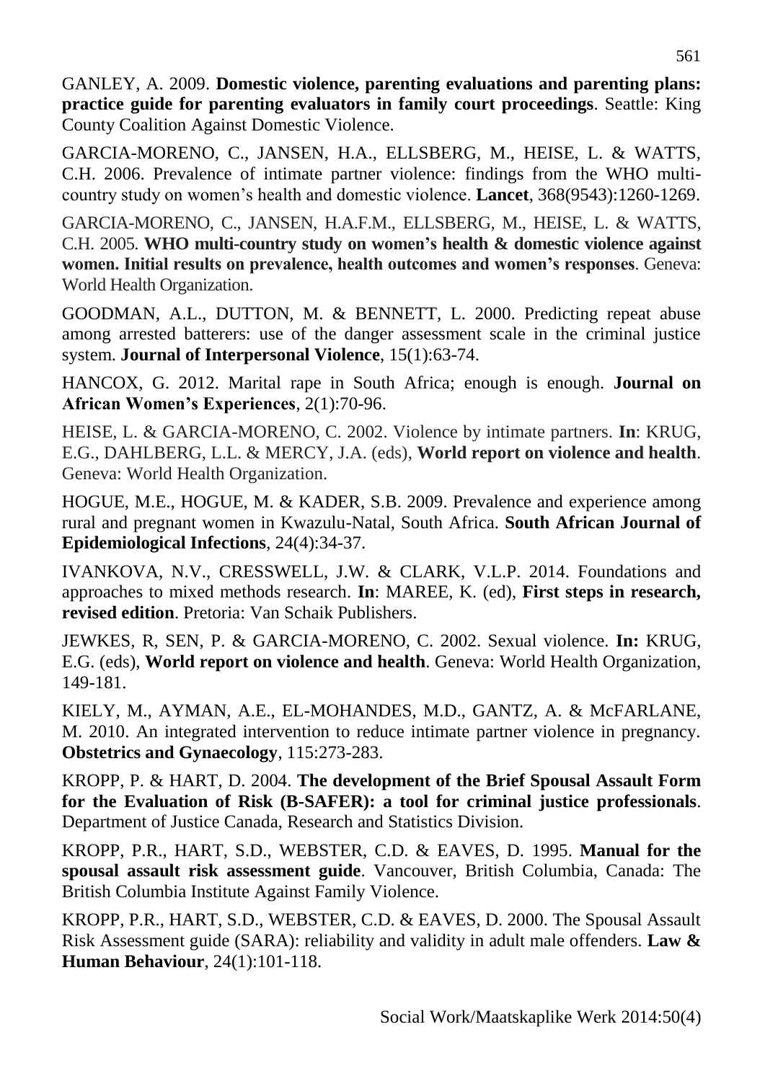GANLEY, A. 2009. **Domestic violence, parenting evaluations and parenting plans: practice guide for parenting evaluators in family court proceedings**. Seattle: King County Coalition Against Domestic Violence.

GARCIA-MORENO, C., JANSEN, H.A., ELLSBERG, M., HEISE, L. & WATTS, C.H. 2006. Prevalence of intimate partner violence: findings from the WHO multicountry study on women's health and domestic violence. **Lancet**, 368(9543):1260-1269.

GARCIA-MORENO, C., JANSEN, H.A.F.M., ELLSBERG, M., HEISE, L. & WATTS, C.H. 2005. **WHO multi-country study on women's health & domestic violence against women. Initial results on prevalence, health outcomes and women's responses**. Geneva: World Health Organization.

GOODMAN, A.L., DUTTON, M. & BENNETT, L. 2000. Predicting repeat abuse among arrested batterers: use of the danger assessment scale in the criminal justice system. **Journal of Interpersonal Violence**, 15(1):63-74.

HANCOX, G. 2012. Marital rape in South Africa; enough is enough. **Journal on African Women's Experiences**, 2(1):70-96.

HEISE, L. & GARCIA-MORENO, C. 2002. Violence by intimate partners. **In**: KRUG, E.G., DAHLBERG, L.L. & MERCY, J.A. (eds), **World report on violence and health**. Geneva: World Health Organization.

HOGUE, M.E., HOGUE, M. & KADER, S.B. 2009. Prevalence and experience among rural and pregnant women in Kwazulu-Natal, South Africa. **South African Journal of Epidemiological Infections**, 24(4):34-37.

IVANKOVA, N.V., CRESSWELL, J.W. & CLARK, V.L.P. 2014. Foundations and approaches to mixed methods research. **In**: MAREE, K. (ed), **First steps in research, revised edition**. Pretoria: Van Schaik Publishers.

JEWKES, R, SEN, P. & GARCIA-MORENO, C. 2002. Sexual violence. **In:** KRUG, E.G. (eds), **World report on violence and health**. Geneva: World Health Organization, 149-181.

KIELY, M., AYMAN, A.E., EL-MOHANDES, M.D., GANTZ, A. & McFARLANE, M. 2010. An integrated intervention to reduce intimate partner violence in pregnancy. **Obstetrics and Gynaecology**, 115:273-283.

KROPP, P. & HART, D. 2004. **The development of the Brief Spousal Assault Form for the Evaluation of Risk (B-SAFER): a tool for criminal justice professionals**. Department of Justice Canada, Research and Statistics Division.

KROPP, P.R., HART, S.D., WEBSTER, C.D. & EAVES, D. 1995. **Manual for the spousal assault risk assessment guide**. Vancouver, British Columbia, Canada: The British Columbia Institute Against Family Violence.

KROPP, P.R., HART, S.D., WEBSTER, C.D. & EAVES, D. 2000. The Spousal Assault Risk Assessment guide (SARA): reliability and validity in adult male offenders. **Law & Human Behaviour**, 24(1):101-118.